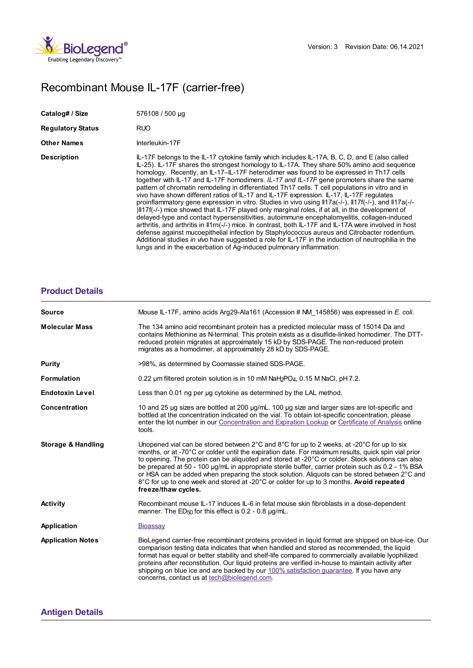

## Recombinant Mouse IL-17F (carrier-free)

| Catalog# / Size          | 576108 / 500 µg                                                                                                                                                                                                                                                                                                                                                                                                                                                                                                                                                                                                                                                                                                                                                                                                                                                                                                                                                                                                                                                                                                                                                                                                                                                                                               |
|--------------------------|---------------------------------------------------------------------------------------------------------------------------------------------------------------------------------------------------------------------------------------------------------------------------------------------------------------------------------------------------------------------------------------------------------------------------------------------------------------------------------------------------------------------------------------------------------------------------------------------------------------------------------------------------------------------------------------------------------------------------------------------------------------------------------------------------------------------------------------------------------------------------------------------------------------------------------------------------------------------------------------------------------------------------------------------------------------------------------------------------------------------------------------------------------------------------------------------------------------------------------------------------------------------------------------------------------------|
| <b>Regulatory Status</b> | <b>RUO</b>                                                                                                                                                                                                                                                                                                                                                                                                                                                                                                                                                                                                                                                                                                                                                                                                                                                                                                                                                                                                                                                                                                                                                                                                                                                                                                    |
| Other Names              | Interleukin-17F                                                                                                                                                                                                                                                                                                                                                                                                                                                                                                                                                                                                                                                                                                                                                                                                                                                                                                                                                                                                                                                                                                                                                                                                                                                                                               |
| <b>Description</b>       | IL-17F belongs to the IL-17 cytokine family which includes IL-17A, B, C, D, and E (also called<br>IL-25). IL-17F shares the strongest homology to IL-17A. They share 50% amino acid sequence<br>homology. Recently, an IL-17-IL-17F heterodimer was found to be expressed in Th17 cells<br>together with IL-17 and IL-17F homodimers. IL-17 and IL-17F gene promoters share the same<br>pattern of chromatin remodeling in differentiated Th17 cells. T cell populations in vitro and in<br>vivo have shown different ratios of IL-17 and IL-17F expression. IL-17, IL-17F regulates<br>proinflammatory gene expression in vitro. Studies in vivo using $\frac{  17a(-1)-  17f(-1)}{2}$ , and $\frac{  17a(-1)}{2}$<br>)Il17f(-/-) mice showed that IL-17F played only marginal roles, if at all, in the development of<br>delayed-type and contact hypersensitivities, autoimmune encephalomyelitis, collagen-induced<br>arthritis, and arthritis in II1m(-/-) mice. In contrast, both IL-17F and IL-17A were involved in host<br>defense against mucoepithelial infection by Staphylococcus aureus and Citrobacter rodentium.<br>Additional studies in vivo have suggested a role for IL-17F in the induction of neutrophilia in the<br>lungs and in the exacerbation of Ag-induced pulmonary inflammation. |

## **[Product](https://production-dynamicweb.biolegend.com/de-at/products/recombinant-mouse-il-17f-carrier-free-6483?pdf=true&displayInline=true&leftRightMargin=15&topBottomMargin=15&filename=Recombinant Mouse IL-17F (carrier-free).pdf#productDetails) Details**

| <b>Source</b>                 | Mouse IL-17F, amino acids Arg29-Ala161 (Accession # NM 145856) was expressed in E. coli.                                                                                                                                                                                                                                                                                                                                                                                                                                                                                                                                                                    |
|-------------------------------|-------------------------------------------------------------------------------------------------------------------------------------------------------------------------------------------------------------------------------------------------------------------------------------------------------------------------------------------------------------------------------------------------------------------------------------------------------------------------------------------------------------------------------------------------------------------------------------------------------------------------------------------------------------|
| <b>Molecular Mass</b>         | The 134 amino acid recombinant protein has a predicted molecular mass of 15014 Da and<br>contains Methionine as N-terminal. This protein exists as a disulfide-linked homodimer. The DTT-<br>reduced protein migrates at approximately 15 kD by SDS-PAGE. The non-reduced protein<br>migrates as a homodimer, at approximately 28 kD by SDS-PAGE.                                                                                                                                                                                                                                                                                                           |
| Purity                        | >98%, as determined by Coomassie stained SDS-PAGE.                                                                                                                                                                                                                                                                                                                                                                                                                                                                                                                                                                                                          |
| <b>Formulation</b>            | 0.22 um filtered protein solution is in 10 mM NaH <sub>2</sub> PO <sub>4</sub> , 0.15 M NaCl, pH 7.2.                                                                                                                                                                                                                                                                                                                                                                                                                                                                                                                                                       |
| <b>Endotoxin Level</b>        | Less than 0.01 ng per ug cytokine as determined by the LAL method.                                                                                                                                                                                                                                                                                                                                                                                                                                                                                                                                                                                          |
| <b>Concentration</b>          | 10 and 25 µg sizes are bottled at 200 µg/mL. 100 µg size and larger sizes are lot-specific and<br>bottled at the concentration indicated on the vial. To obtain lot-specific concentration, please<br>enter the lot number in our Concentration and Expiration Lookup or Certificate of Analysis online<br>tools.                                                                                                                                                                                                                                                                                                                                           |
| <b>Storage &amp; Handling</b> | Unopened vial can be stored between $2^{\circ}$ C and $8^{\circ}$ C for up to 2 weeks, at -20 $^{\circ}$ C for up to six<br>months, or at -70°C or colder until the expiration date. For maximum results, quick spin vial prior<br>to opening. The protein can be aliquoted and stored at -20°C or colder. Stock solutions can also<br>be prepared at 50 - 100 µg/mL in appropriate sterile buffer, carrier protein such as 0.2 - 1% BSA<br>or HSA can be added when preparing the stock solution. Aliquots can be stored between 2°C and<br>8°C for up to one week and stored at -20°C or colder for up to 3 months. Avoid repeated<br>freeze/thaw cycles. |
| Activity                      | Recombinant mouse IL-17 induces IL-6 in fetal mouse skin fibroblasts in a dose-dependent<br>manner. The $ED_{50}$ for this effect is 0.2 - 0.8 $\mu$ g/mL.                                                                                                                                                                                                                                                                                                                                                                                                                                                                                                  |
| Application                   | Bioassay                                                                                                                                                                                                                                                                                                                                                                                                                                                                                                                                                                                                                                                    |
| <b>Application Notes</b>      | BioLegend carrier-free recombinant proteins provided in liquid format are shipped on blue-ice. Our<br>comparison testing data indicates that when handled and stored as recommended, the liquid<br>format has equal or better stability and shelf-life compared to commercially available lyophilized<br>proteins after reconstitution. Our liquid proteins are verified in-house to maintain activity after<br>shipping on blue ice and are backed by our 100% satisfaction quarantee. If you have any<br>concerns, contact us at tech@biolegend.com.                                                                                                      |